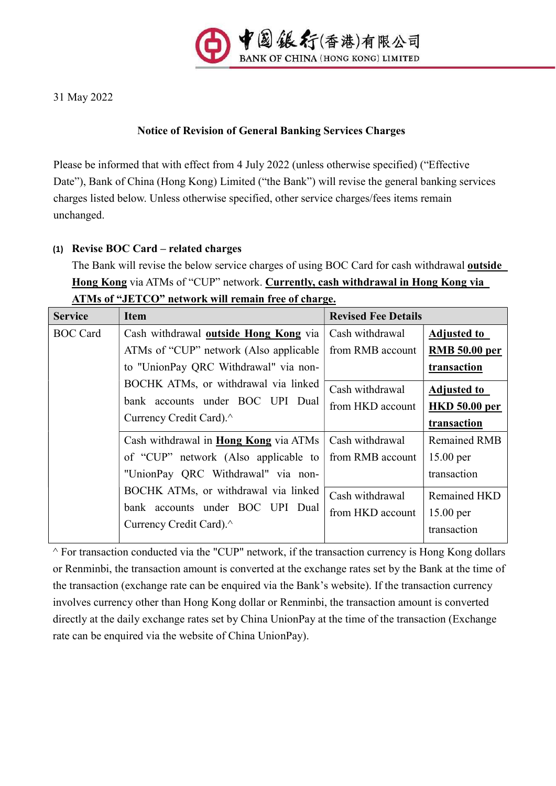

31 May 2022

# Notice of Revision of General Banking Services Charges

Please be informed that with effect from 4 July 2022 (unless otherwise specified) ("Effective Date"), Bank of China (Hong Kong) Limited ("the Bank") will revise the general banking services charges listed below. Unless otherwise specified, other service charges/fees items remain unchanged.

## (1) Revise BOC Card – related charges

The Bank will revise the below service charges of using BOC Card for cash withdrawal outside Hong Kong via ATMs of "CUP" network. Currently, cash withdrawal in Hong Kong via ATMs of "JETCO" network will remain free of charge.

| <b>Service</b>  | <b>Item</b>                                                                                                                              | <b>Revised Fee Details</b> |                      |
|-----------------|------------------------------------------------------------------------------------------------------------------------------------------|----------------------------|----------------------|
| <b>BOC</b> Card | Cash withdrawal <b>outside Hong Kong</b> via                                                                                             | Cash withdrawal            | <b>Adjusted to</b>   |
|                 | ATMs of "CUP" network (Also applicable                                                                                                   | from RMB account           | <b>RMB</b> 50.00 per |
|                 | to "UnionPay QRC Withdrawal" via non-                                                                                                    |                            | transaction          |
|                 | BOCHK ATMs, or withdrawal via linked                                                                                                     | Cash withdrawal            | <b>Adjusted to</b>   |
|                 | bank accounts under BOC UPI Dual<br>Currency Credit Card).                                                                               | from HKD account           | <b>HKD</b> 50.00 per |
|                 |                                                                                                                                          |                            | transaction          |
|                 | Cash withdrawal in <b>Hong Kong</b> via ATMs                                                                                             | Cash withdrawal            | <b>Remained RMB</b>  |
|                 | of "CUP" network (Also applicable to                                                                                                     | from RMB account           | $15.00$ per          |
|                 | "UnionPay QRC Withdrawal" via non-<br>BOCHK ATMs, or withdrawal via linked<br>bank accounts under BOC UPI Dual<br>Currency Credit Card). |                            | transaction          |
|                 |                                                                                                                                          | Cash withdrawal            | Remained HKD         |
|                 |                                                                                                                                          | from HKD account           | $15.00$ per          |
|                 |                                                                                                                                          |                            | transaction          |

 $\wedge$  For transaction conducted via the "CUP" network, if the transaction currency is Hong Kong dollars or Renminbi, the transaction amount is converted at the exchange rates set by the Bank at the time of the transaction (exchange rate can be enquired via the Bank's website). If the transaction currency involves currency other than Hong Kong dollar or Renminbi, the transaction amount is converted directly at the daily exchange rates set by China UnionPay at the time of the transaction (Exchange rate can be enquired via the website of China UnionPay).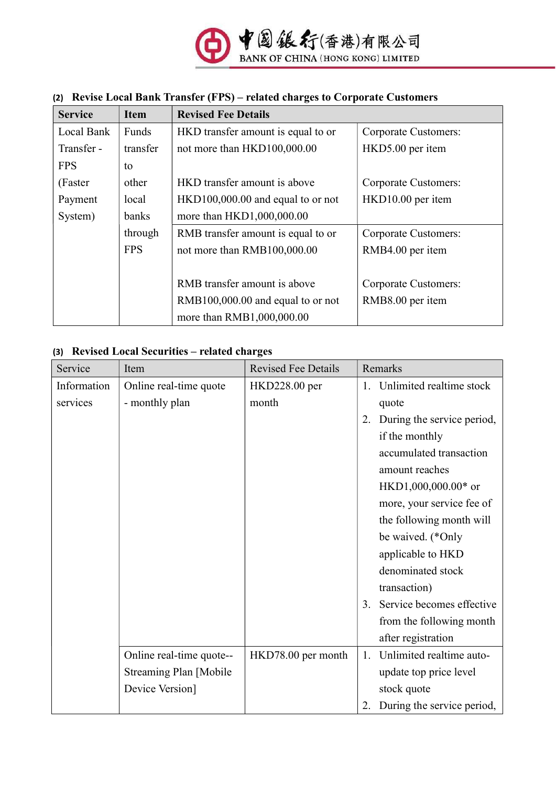

## (2) Revise Local Bank Transfer (FPS) – related charges to Corporate Customers

| <b>Service</b> | <b>Item</b> | <b>Revised Fee Details</b>          |                      |  |  |
|----------------|-------------|-------------------------------------|----------------------|--|--|
| Local Bank     | Funds       | HKD transfer amount is equal to or  | Corporate Customers: |  |  |
| Transfer -     | transfer    | not more than HKD100,000.00         | HKD5.00 per item     |  |  |
| <b>FPS</b>     | to          |                                     |                      |  |  |
| (Faster)       | other       | HKD transfer amount is above        | Corporate Customers: |  |  |
| Payment        | local       | $HKD100,000.00$ and equal to or not | HKD10.00 per item    |  |  |
| System)        | banks       | more than HKD1,000,000.00           |                      |  |  |
|                | through     | RMB transfer amount is equal to or  | Corporate Customers: |  |  |
|                | <b>FPS</b>  | not more than RMB100,000.00         | RMB4.00 per item     |  |  |
|                |             |                                     |                      |  |  |
|                |             | RMB transfer amount is above        | Corporate Customers: |  |  |
|                |             | RMB100,000.00 and equal to or not   | RMB8.00 per item     |  |  |
|                |             | more than RMB1,000,000.00           |                      |  |  |

## (3) Revised Local Securities – related charges

| Service     | Item                          | <b>Revised Fee Details</b> | Remarks                          |  |  |
|-------------|-------------------------------|----------------------------|----------------------------------|--|--|
| Information | Online real-time quote        | HKD228.00 per              | Unlimited realtime stock<br>1.   |  |  |
| services    | - monthly plan                | month                      | quote                            |  |  |
|             |                               |                            | During the service period,<br>2. |  |  |
|             |                               |                            | if the monthly                   |  |  |
|             |                               |                            | accumulated transaction          |  |  |
|             |                               |                            | amount reaches                   |  |  |
|             |                               |                            | HKD1,000,000.00* or              |  |  |
|             |                               |                            | more, your service fee of        |  |  |
|             |                               |                            | the following month will         |  |  |
|             |                               |                            | be waived. (*Only                |  |  |
|             |                               |                            | applicable to HKD                |  |  |
|             |                               |                            | denominated stock                |  |  |
|             |                               |                            | transaction)                     |  |  |
|             |                               |                            | Service becomes effective<br>3.  |  |  |
|             |                               |                            | from the following month         |  |  |
|             |                               |                            | after registration               |  |  |
|             | Online real-time quote--      | HKD78.00 per month         | Unlimited realtime auto-<br>1.   |  |  |
|             | <b>Streaming Plan [Mobile</b> |                            | update top price level           |  |  |
|             | Device Version]               |                            | stock quote                      |  |  |
|             |                               |                            | During the service period,<br>2. |  |  |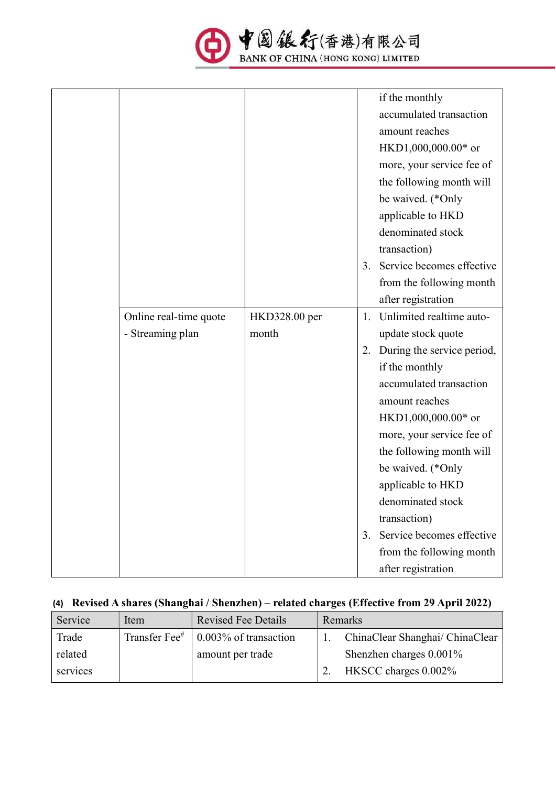

|                        |               |    | if the monthly             |
|------------------------|---------------|----|----------------------------|
|                        |               |    | accumulated transaction    |
|                        |               |    | amount reaches             |
|                        |               |    | HKD1,000,000.00* or        |
|                        |               |    | more, your service fee of  |
|                        |               |    | the following month will   |
|                        |               |    | be waived. (*Only          |
|                        |               |    | applicable to HKD          |
|                        |               |    | denominated stock          |
|                        |               |    | transaction)               |
|                        |               | 3. | Service becomes effective  |
|                        |               |    | from the following month   |
|                        |               |    | after registration         |
| Online real-time quote | HKD328.00 per | 1. | Unlimited realtime auto-   |
| - Streaming plan       | month         |    | update stock quote         |
|                        |               | 2. | During the service period, |
|                        |               |    | if the monthly             |
|                        |               |    | accumulated transaction    |
|                        |               |    | amount reaches             |
|                        |               |    | HKD1,000,000.00* or        |
|                        |               |    | more, your service fee of  |
|                        |               |    | the following month will   |
|                        |               |    | be waived. (*Only          |
|                        |               |    | applicable to HKD          |
|                        |               |    | denominated stock          |
|                        |               |    | transaction)               |
|                        |               | 3. | Service becomes effective  |
|                        |               |    | from the following month   |
|                        |               |    | after registration         |

# (4) Revised A shares (Shanghai / Shenzhen) – related charges (Effective from 29 April 2022)

| Service  | Item | <b>Revised Fee Details</b>                              | Remarks |                                 |
|----------|------|---------------------------------------------------------|---------|---------------------------------|
| Trade    |      | Transfer Fee <sup>#</sup> $\vert$ 0.003% of transaction |         | ChinaClear Shanghai/ ChinaClear |
| related  |      | amount per trade                                        |         | Shenzhen charges $0.001\%$      |
| services |      |                                                         |         | 2. HKSCC charges $0.002\%$      |